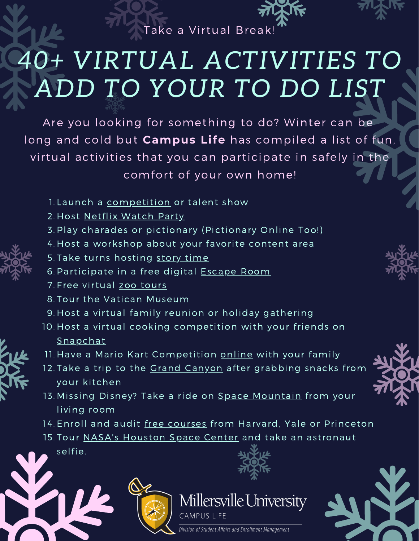

## *40+ VIRTUAL ACTIVITIES TO ADD TO YOUR TO DO LIST*

Are you looking for something to do? Winter can be long and cold but **Campus Life** has compiled a list of fun, virtual activities that you can participate in safely in the comfort of your own home!

- 1. Launch a [competition](https://parents-together.org/how-to-host-a-virtual-talent-show-with-your-family-or-childs-class/) or talent show
- 2. Host [Netflix](https://www.goodhousekeeping.com/life/entertainment/a31788747/how-to-do-netflix-watch-party/) Watch Party
- 3. Play charades or <u>[pictionary](https://randomwordgenerator.com/pictionary.php)</u> (Pictionary Online Too!)
- 4. Host a workshop about your favorite content area
- 5. Take turns hosting [story](https://www.storylineonline.net/) time
- 6. Participate in a free digital **[Escape](https://mamateaches.com/digital-escape-rooms/?fbclid=IwAR0hHOJ2R8F-6oc_3oRd_6qb4M-SH4xuj0kYcW5AXuxjeOHVpok8fSx7cvQ) Room**
- 7. Free virtual zoo [tours](https://www.trip.com/blog/home-travel-coronavirus-live-stream-museums-and-arts/)
- 8. Tour the <u>Vatican [Museum](http://www.museivaticani.va/content/museivaticani/en/collezioni/musei/tour-virtuali-elenco.html)</u>
- 9. Host a virtual family reunion or holiday gathering
- 10. Host a virtual cooking competition with your friends on [Snapchat](https://www.snapchat.com/download)
- 11. Have a Mario Kart Competition <u>[online](https://play.google.com/store/apps/details?id=com.nintendo.zaka&hl=en_US)</u> with your family
- 12. Take a trip to the <u>Grand [Canyon](https://earth.google.com/web/@36.05767875,-112.14321948,2082.34814044a,0d,60y,355.0213841h,83.81222441t,0r/data=CjASLhIgYWM3MWNmNzgyZWQ1MTFlOThiZTQ0NWEzN2RiYmYzMTEiCmdjc19pdGluXzEiGgoWMk9YZUt2VDczSC1JZl9XdHN5eGdBURAC)</u> after grabbing snacks from your kitchen
- 13. Missing Disney? Take a ride on <u>Space [Mountain](https://www.youtube.com/watch?v=WMMiZFPYg6M)</u> from your living room
- 14. Enroll and audit <u>free [courses](https://www.businessinsider.com/free-online-courses-from-best-colleges?&_ga=2.163000060.1322452002.1609863442-1970564453.1609863442#1-princeton-university-1)</u> from Harvard, Yale or Princeton
- 15. Tour **NASA's [Houston](https://spacecenter.org/app/) Sp[a](https://spacecenter.org/app/)ce Center** and take an astronaut

selfie.









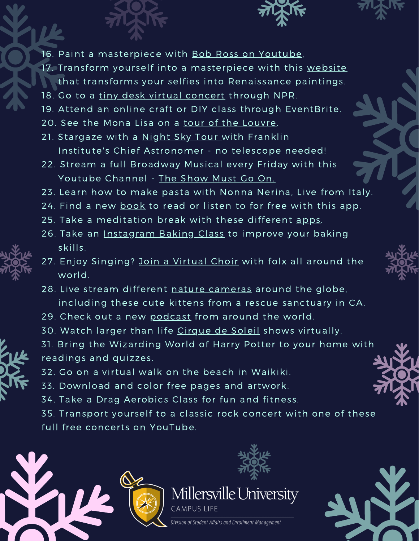

- 16. Paint a masterpiece with Bob Ross on [Youtube](https://www.youtube.com/channel/UCxcnsr1R5Ge_fbTu5ajt8DQ),
- 17. Transform yourself into a masterpiece with this [website](https://ai-art.tokyo/en/) that transforms your selfies into Renaissance paintings.
- 18. Go to a tiny desk virtual [concert](https://www.youtube.com/playlist?list=PLy2PCKGkKRVYPm1tBwoX45ocAzuhVyvJX) through NPR.
- 19. Attend an online craft or DIY class through [EventBrite.](https://www.eventbrite.com/c/do-it-yourself-online-arts-and-crafts-workshops-classes-and-events-cwwrkgg/)
- 20. See the Mona Lisa on a tour of the [Louvre.](https://www.eventbrite.com/e/louvre-museum-live-interactive-virtual-tour-tickets-103644126372?aff=ebdssbonlinebrowse)
- 21. Stargaze with a [Night](https://www.facebook.com/events/450346445978653/) Sky Tour with Franklin Institute's Chief Astronomer - no telescope needed!
- 22. Stream a full Broadway Musical every Friday with this Youtube Channel - The [Show](https://www.youtube.com/channel/UCdmPjhKMaXNNeCr1FjuMvag) Must Go On.
- 23. Learn how to make pasta with [Nonna](https://nonnalive.com/) Nerina, Live from Italy.
- 24. Find a new [book](https://www.travelandleisure.com/travel-tips/mobile-apps/libby-app-free-books-audiobooks) to read or listen to for free with this app.
- 25. Take a meditation break with these different [apps](https://www.travelandleisure.com/trip-ideas/yoga-wellness/best-meditation-apps).
- 26. Take an [Instagram](https://www.timeout.com/london/news/london-bakery-bread-ahead-is-hosting-live-baking-tutorials-on-instagram-031820) Baking Class to improve your baking skills.
- 27. Enjoy Singing? Join a [Virtual](https://www.timeout.com/news/you-can-now-sing-along-with-strangers-in-these-virtual-choirs-032420) Choir [w](https://www.timeout.com/news/you-can-now-sing-along-with-strangers-in-these-virtual-choirs-032420)ith folx all around the world.
- 28. Live stream different nature [cameras](https://explore.org/livecams/currently-live/kitten-rescue-cam) around the globe, including these cute kittens from a rescue sanctuary in CA.
- 29. Check out a new [podcast](https://www.timeout.com/things-to-do/best-podcasts) from around the world.
- 30. Watch larger than life [Cirque](https://www.cirquedusoleil.com/CIRQUECONNECT) de Soleil shows virtually.
- 31. Bring the Wizarding World of Harry Potter to your home with readings and quizzes.
- 32. Go on a virtual walk on the beach in Waikiki.
- 33. Download and color free pages and artwork.
- 34. Take a Drag Aerobics Class for fun and fitness.
- 35. Transport yourself to a classic rock concert with one of these full free concerts on YouTube.





## Millersville University **CAMPUS LIFE**

Division of Student Affairs and Enrollment Management